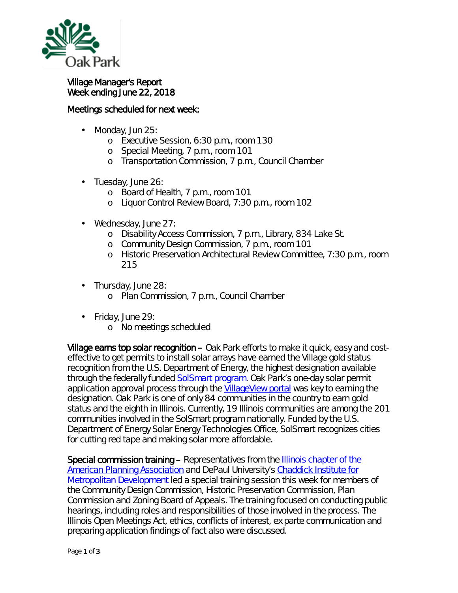

## Village Manager's Report Week ending June 22, 2018

## Meetings scheduled for next week:

- Monday, Jun 25: ä,
	- o Executive Session, 6:30 p.m., room 130
	- o Special Meeting, 7 p.m., room 101
	- o Transportation Commission, 7 p.m., Council Chamber
- Tuesday, June 26:
	- o Board of Health, 7 p.m., room 101
	- o Liquor Control Review Board, 7:30 p.m., room 102
- Wednesday, June 27:
	- o Disability Access Commission, 7 p.m., Library, 834 Lake St.
	- o Community Design Commission, 7 p.m., room 101
	- o Historic Preservation Architectural Review Committee, 7:30 p.m., room 215
- Thursday, June 28:  $\blacksquare$ 
	- o Plan Commission, 7 p.m., Council Chamber
- Friday, June 29:  $\mathbf{r}$ 
	- o No meetings scheduled

Village earns top solar recognition – Oak Park efforts to make it quick, easy and costeffective to get permits to install solar arrays have earned the Village gold status recognition from the U.S. Department of Energy, the highest designation available through the federally funded [SolSmart program.](https://www.solsmart.org/) Oak Park's one-day solar permit application approval process through the [VillageView portal](https://villageview.oak-park.us/CityViewPortal) was key to earning the designation. Oak Park is one of only 84 communities in the country to earn gold status and the eighth in Illinois. Currently, 19 Illinois communities are among the 201 communities involved in the SolSmart program nationally. Funded by the U.S. Department of Energy Solar Energy Technologies Office, SolSmart recognizes cities for cutting red tape and making solar more affordable.

Special commission training – Representatives from the [Illinois chapter of the](https://www.ilapa.org/)  [American Planning Association](https://www.ilapa.org/) and DePaul University's [Chaddick Institute for](https://las.depaul.edu/centers-and-institutes/chaddick-institute-for-metropolitan-development/Pages/default.aspx)  [Metropolitan Development](https://las.depaul.edu/centers-and-institutes/chaddick-institute-for-metropolitan-development/Pages/default.aspx) led a special training session this week for members of the Community Design Commission, Historic Preservation Commission, Plan Commission and Zoning Board of Appeals. The training focused on conducting public hearings, including roles and responsibilities of those involved in the process. The Illinois Open Meetings Act, ethics, conflicts of interest, ex parte communication and preparing application findings of fact also were discussed.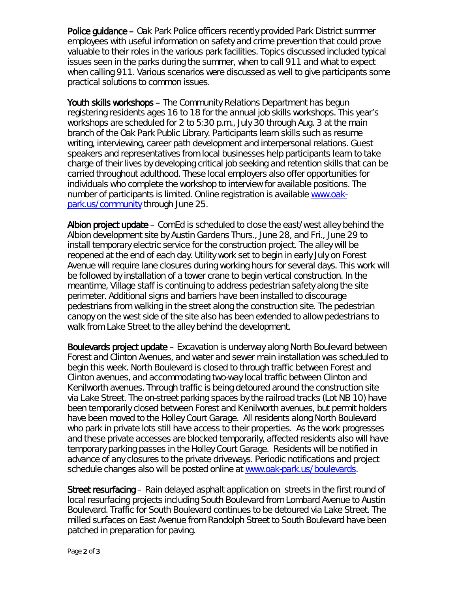Police guidance – Oak Park Police officers recently provided Park District summer employees with useful information on safety and crime prevention that could prove valuable to their roles in the various park facilities. Topics discussed included typical issues seen in the parks during the summer, when to call 911 and what to expect when calling 911. Various scenarios were discussed as well to give participants some practical solutions to common issues.

Youth skills workshops – The Community Relations Department has begun registering residents ages 16 to 18 for the annual job skills workshops. This year's workshops are scheduled for 2 to 5:30 p.m., July 30 through Aug. 3 at the main branch of the Oak Park Public Library. Participants learn skills such as resume writing, interviewing, career path development and interpersonal relations. Guest speakers and representatives from local businesses help participants learn to take charge of their lives by developing critical job seeking and retention skills that can be carried throughout adulthood. These local employers also offer opportunities for individuals who complete the workshop to interview for available positions. The number of participants is limited. Online registration is available [www.oak](http://www.oak-park.us/community through%20July%2025)[park.us/community](http://www.oak-park.us/community through%20July%2025) through June 25.

Albion project update – ComEd is scheduled to close the east/west alley behind the Albion development site by Austin Gardens Thurs., June 28, and Fri., June 29 to install temporary electric service for the construction project. The alley will be reopened at the end of each day. Utility work set to begin in early July on Forest Avenue will require lane closures during working hours for several days. This work will be followed by installation of a tower crane to begin vertical construction. In the meantime, Village staff is continuing to address pedestrian safety along the site perimeter. Additional signs and barriers have been installed to discourage pedestrians from walking in the street along the construction site. The pedestrian canopy on the west side of the site also has been extended to allow pedestrians to walk from Lake Street to the alley behind the development.

Boulevards project update – Excavation is underway along North Boulevard between Forest and Clinton Avenues, and water and sewer main installation was scheduled to begin this week. North Boulevard is closed to through traffic between Forest and Clinton avenues, and accommodating two-way local traffic between Clinton and Kenilworth avenues. Through traffic is being detoured around the construction site via Lake Street. The on-street parking spaces by the railroad tracks (Lot NB 10) have been temporarily closed between Forest and Kenilworth avenues, but permit holders have been moved to the Holley Court Garage. All residents along North Boulevard who park in private lots still have access to their properties. As the work progresses and these private accesses are blocked temporarily, affected residents also will have temporary parking passes in the Holley Court Garage. Residents will be notified in advance of any closures to the private driveways. Periodic notifications and project schedule changes also will be posted online at [www.oak-park.us/boulevards.](http://www.oak-park.us/boulevards)

Street resurfacing – Rain delayed asphalt application on streets in the first round of local resurfacing projects including South Boulevard from Lombard Avenue to Austin Boulevard. Traffic for South Boulevard continues to be detoured via Lake Street. The milled surfaces on East Avenue from Randolph Street to South Boulevard have been patched in preparation for paving.